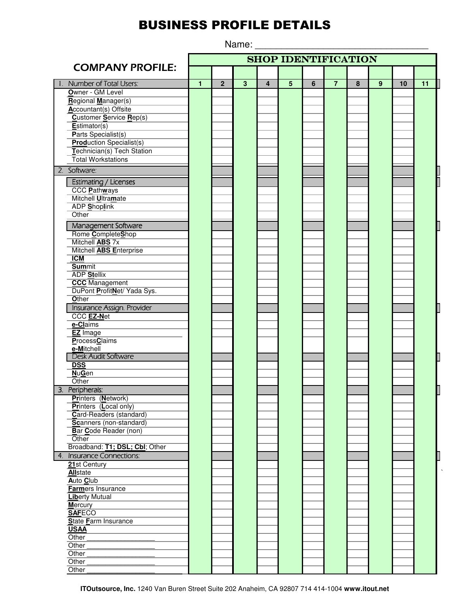## **BUSINESS PROFILE DETAILS**

Name:

**SHOP IDENTIFICATION COMPANY PROFILE:** Number of Total Users: Ŧ  $\overline{2}$  $\overline{3}$  $\overline{4}$  $\overline{5}$  $6$  $\overline{7}$  $\overline{8}$  $\overline{9}$  $10$  $\overline{11}$ Owner - GM Level Regional Manager(s) Accountant(s) Offsite **Customer Service Rep(s)** Estimator(s) Parts Specialist(s) **Prod**uction Specialist(s) Technician(s) Tech Station **Total Workstations** 2. Software: **Estimating / Licenses CCC Pathways** Mitchell Ultramate ADP Shoplink Other Management Software Rome CompleteShop Mitchell ABS 7x Mitchell **ABS** Enterprise  $ICM$ **Summit** ADP Stellix **CCC** Management DuPont ProfitNet/ Yada Sys. Other Insurance Assign. Provider CCC **EZ-Net** e-Claims EZ Image ProcessClaims e-Mitchell **Desk Audit Software DSS**  $NuGen$ Other 3. Peripherals: Printers (Network) Printers (Local only) Card-Readers (standard) Scanners (non-standard) Bar Code Reader (non) Other Broadband: T1; DSL; CbI; Other Insurance Connections:  $4<sup>1</sup>$ 21st Century **Allstate** Auto Club **Farmers Insurance Liberty Mutual Mercury SAFECO State Farm Insurance USAA** Other Other Other Other Other